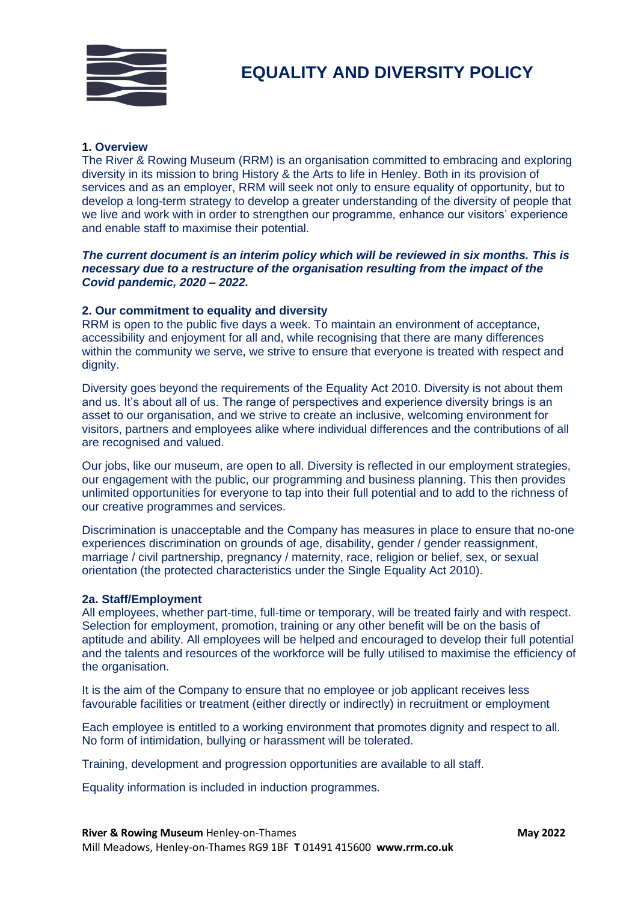

## **1. Overview**

The River & Rowing Museum (RRM) is an organisation committed to embracing and exploring diversity in its mission to bring History & the Arts to life in Henley. Both in its provision of services and as an employer, RRM will seek not only to ensure equality of opportunity, but to develop a long-term strategy to develop a greater understanding of the diversity of people that we live and work with in order to strengthen our programme, enhance our visitors' experience and enable staff to maximise their potential.

# *The current document is an interim policy which will be reviewed in six months. This is necessary due to a restructure of the organisation resulting from the impact of the Covid pandemic, 2020 – 2022.*

# **2. Our commitment to equality and diversity**

RRM is open to the public five days a week. To maintain an environment of acceptance, accessibility and enjoyment for all and, while recognising that there are many differences within the community we serve, we strive to ensure that everyone is treated with respect and dianity.

Diversity goes beyond the requirements of the Equality Act 2010. Diversity is not about them and us. It's about all of us. The range of perspectives and experience diversity brings is an asset to our organisation, and we strive to create an inclusive, welcoming environment for visitors, partners and employees alike where individual differences and the contributions of all are recognised and valued.

Our jobs, like our museum, are open to all. Diversity is reflected in our employment strategies, our engagement with the public, our programming and business planning. This then provides unlimited opportunities for everyone to tap into their full potential and to add to the richness of our creative programmes and services.

Discrimination is unacceptable and the Company has measures in place to ensure that no-one experiences discrimination on grounds of age, disability, gender / gender reassignment, marriage / civil partnership, pregnancy / maternity, race, religion or belief, sex, or sexual orientation (the protected characteristics under the Single Equality Act 2010).

## **2a. Staff/Employment**

All employees, whether part-time, full-time or temporary, will be treated fairly and with respect. Selection for employment, promotion, training or any other benefit will be on the basis of aptitude and ability. All employees will be helped and encouraged to develop their full potential and the talents and resources of the workforce will be fully utilised to maximise the efficiency of the organisation.

It is the aim of the Company to ensure that no employee or job applicant receives less favourable facilities or treatment (either directly or indirectly) in recruitment or employment

Each employee is entitled to a working environment that promotes dignity and respect to all. No form of intimidation, bullying or harassment will be tolerated.

Training, development and progression opportunities are available to all staff.

Equality information is included in induction programmes.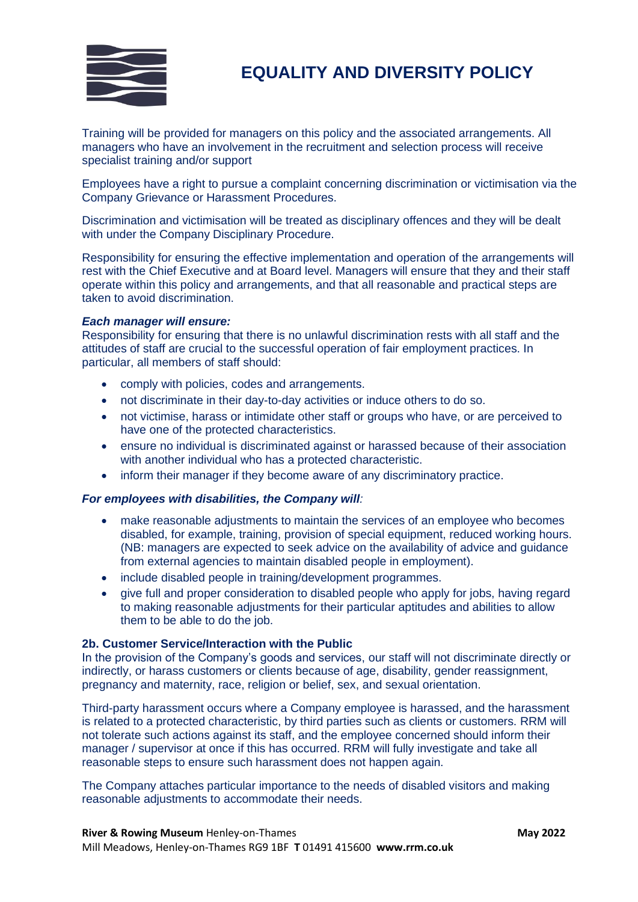

# **EQUALITY AND DIVERSITY POLICY**

Training will be provided for managers on this policy and the associated arrangements. All managers who have an involvement in the recruitment and selection process will receive specialist training and/or support

Employees have a right to pursue a complaint concerning discrimination or victimisation via the Company Grievance or Harassment Procedures.

Discrimination and victimisation will be treated as disciplinary offences and they will be dealt with under the Company Disciplinary Procedure.

Responsibility for ensuring the effective implementation and operation of the arrangements will rest with the Chief Executive and at Board level. Managers will ensure that they and their staff operate within this policy and arrangements, and that all reasonable and practical steps are taken to avoid discrimination.

#### *Each manager will ensure:*

Responsibility for ensuring that there is no unlawful discrimination rests with all staff and the attitudes of staff are crucial to the successful operation of fair employment practices. In particular, all members of staff should:

- comply with policies, codes and arrangements.
- not discriminate in their day-to-day activities or induce others to do so.
- not victimise, harass or intimidate other staff or groups who have, or are perceived to have one of the protected characteristics.
- ensure no individual is discriminated against or harassed because of their association with another individual who has a protected characteristic.
- inform their manager if they become aware of any discriminatory practice.

#### *For employees with disabilities, the Company will:*

- make reasonable adjustments to maintain the services of an employee who becomes disabled, for example, training, provision of special equipment, reduced working hours. (NB: managers are expected to seek advice on the availability of advice and guidance from external agencies to maintain disabled people in employment).
- include disabled people in training/development programmes.
- give full and proper consideration to disabled people who apply for jobs, having regard to making reasonable adjustments for their particular aptitudes and abilities to allow them to be able to do the job.

#### **2b. Customer Service/Interaction with the Public**

In the provision of the Company's goods and services, our staff will not discriminate directly or indirectly, or harass customers or clients because of age, disability, gender reassignment, pregnancy and maternity, race, religion or belief, sex, and sexual orientation.

Third-party harassment occurs where a Company employee is harassed, and the harassment is related to a protected characteristic, by third parties such as clients or customers. RRM will not tolerate such actions against its staff, and the employee concerned should inform their manager / supervisor at once if this has occurred. RRM will fully investigate and take all reasonable steps to ensure such harassment does not happen again.

The Company attaches particular importance to the needs of disabled visitors and making reasonable adjustments to accommodate their needs.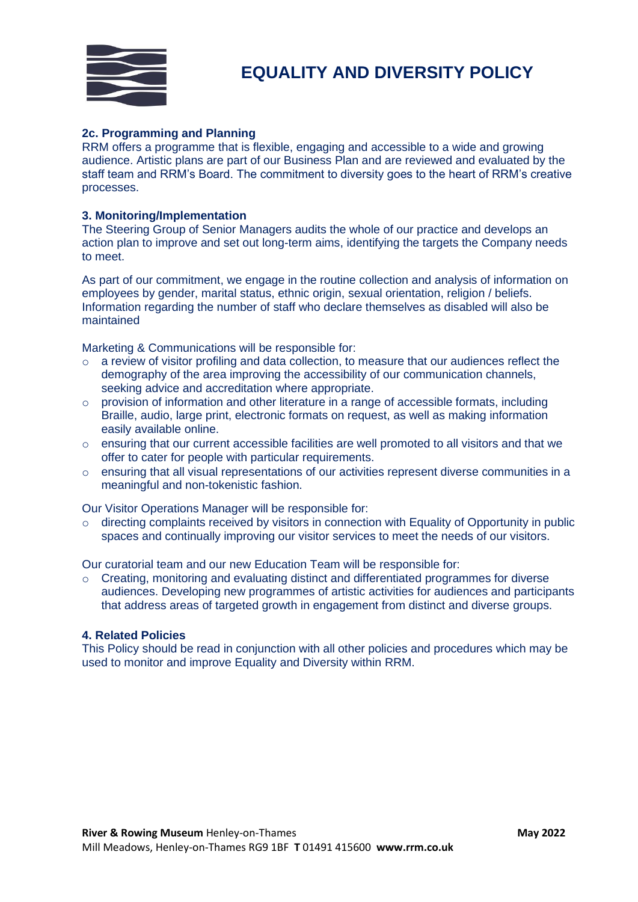

# **2c. Programming and Planning**

RRM offers a programme that is flexible, engaging and accessible to a wide and growing audience. Artistic plans are part of our Business Plan and are reviewed and evaluated by the staff team and RRM's Board. The commitment to diversity goes to the heart of RRM's creative processes.

# **3. Monitoring/Implementation**

The Steering Group of Senior Managers audits the whole of our practice and develops an action plan to improve and set out long-term aims, identifying the targets the Company needs to meet.

As part of our commitment, we engage in the routine collection and analysis of information on employees by gender, marital status, ethnic origin, sexual orientation, religion / beliefs. Information regarding the number of staff who declare themselves as disabled will also be maintained

Marketing & Communications will be responsible for:

- $\circ$  a review of visitor profiling and data collection, to measure that our audiences reflect the demography of the area improving the accessibility of our communication channels, seeking advice and accreditation where appropriate.
- o provision of information and other literature in a range of accessible formats, including Braille, audio, large print, electronic formats on request, as well as making information easily available online.
- $\circ$  ensuring that our current accessible facilities are well promoted to all visitors and that we offer to cater for people with particular requirements.
- o ensuring that all visual representations of our activities represent diverse communities in a meaningful and non-tokenistic fashion.

Our Visitor Operations Manager will be responsible for:

 $\circ$  directing complaints received by visitors in connection with Equality of Opportunity in public spaces and continually improving our visitor services to meet the needs of our visitors.

Our curatorial team and our new Education Team will be responsible for:

o Creating, monitoring and evaluating distinct and differentiated programmes for diverse audiences. Developing new programmes of artistic activities for audiences and participants that address areas of targeted growth in engagement from distinct and diverse groups.

## **4. Related Policies**

This Policy should be read in conjunction with all other policies and procedures which may be used to monitor and improve Equality and Diversity within RRM.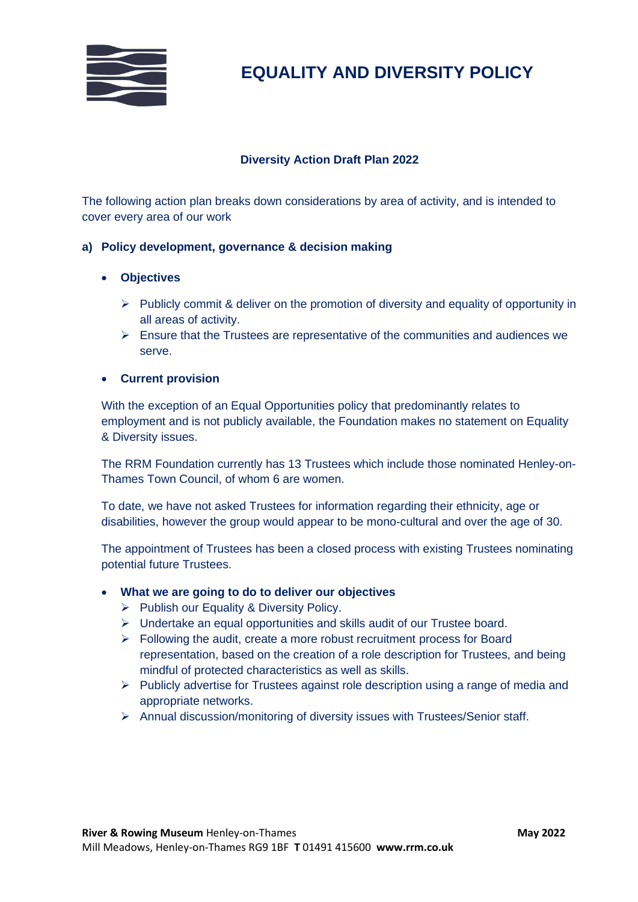

# **EQUALITY AND DIVERSITY POLICY**

# **Diversity Action Draft Plan 2022**

The following action plan breaks down considerations by area of activity, and is intended to cover every area of our work

# **a) Policy development, governance & decision making**

# • **Objectives**

- ➢ Publicly commit & deliver on the promotion of diversity and equality of opportunity in all areas of activity.
- $\triangleright$  Ensure that the Trustees are representative of the communities and audiences we serve.

# • **Current provision**

With the exception of an Equal Opportunities policy that predominantly relates to employment and is not publicly available, the Foundation makes no statement on Equality & Diversity issues.

The RRM Foundation currently has 13 Trustees which include those nominated Henley-on-Thames Town Council, of whom 6 are women.

To date, we have not asked Trustees for information regarding their ethnicity, age or disabilities, however the group would appear to be mono-cultural and over the age of 30.

The appointment of Trustees has been a closed process with existing Trustees nominating potential future Trustees.

## • **What we are going to do to deliver our objectives**

- ➢ Publish our Equality & Diversity Policy.
- ➢ Undertake an equal opportunities and skills audit of our Trustee board.
- ➢ Following the audit, create a more robust recruitment process for Board representation, based on the creation of a role description for Trustees, and being mindful of protected characteristics as well as skills.
- $\triangleright$  Publicly advertise for Trustees against role description using a range of media and appropriate networks.
- ➢ Annual discussion/monitoring of diversity issues with Trustees/Senior staff.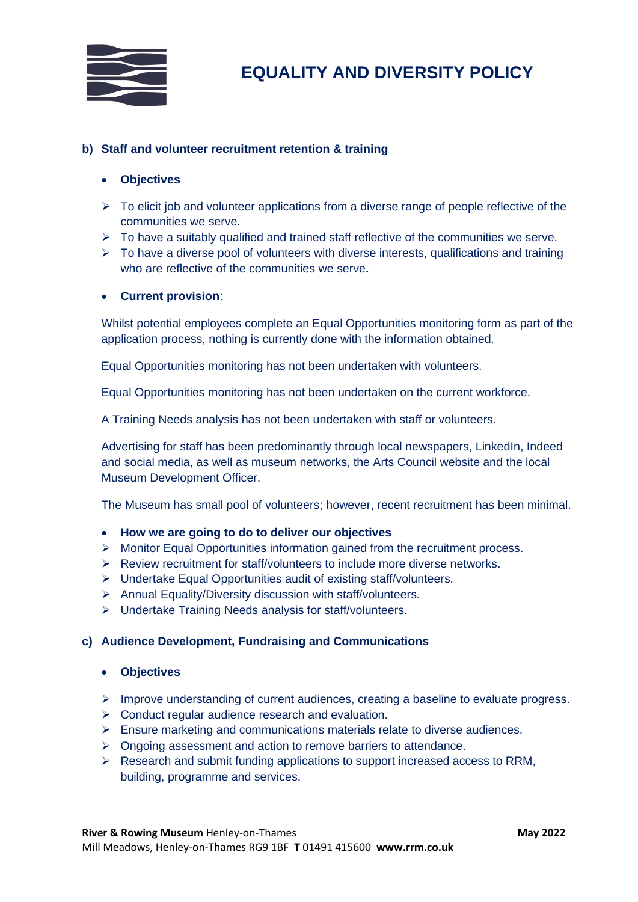

# **b) Staff and volunteer recruitment retention & training**

# • **Objectives**

- $\triangleright$  To elicit job and volunteer applications from a diverse range of people reflective of the communities we serve.
- $\triangleright$  To have a suitably qualified and trained staff reflective of the communities we serve.
- $\triangleright$  To have a diverse pool of volunteers with diverse interests, qualifications and training who are reflective of the communities we serve**.**

# • **Current provision**:

Whilst potential employees complete an Equal Opportunities monitoring form as part of the application process, nothing is currently done with the information obtained.

Equal Opportunities monitoring has not been undertaken with volunteers.

Equal Opportunities monitoring has not been undertaken on the current workforce.

A Training Needs analysis has not been undertaken with staff or volunteers.

Advertising for staff has been predominantly through local newspapers, LinkedIn, Indeed and social media, as well as museum networks, the Arts Council website and the local Museum Development Officer.

The Museum has small pool of volunteers; however, recent recruitment has been minimal.

## • **How we are going to do to deliver our objectives**

- $\triangleright$  Monitor Equal Opportunities information gained from the recruitment process.
- ➢ Review recruitment for staff/volunteers to include more diverse networks.
- ➢ Undertake Equal Opportunities audit of existing staff/volunteers.
- ➢ Annual Equality/Diversity discussion with staff/volunteers.
- ➢ Undertake Training Needs analysis for staff/volunteers.

## **c) Audience Development, Fundraising and Communications**

- **Objectives**
- ➢ Improve understanding of current audiences, creating a baseline to evaluate progress.
- $\triangleright$  Conduct regular audience research and evaluation.
- $\triangleright$  Ensure marketing and communications materials relate to diverse audiences.
- ➢ Ongoing assessment and action to remove barriers to attendance.
- ➢ Research and submit funding applications to support increased access to RRM, building, programme and services.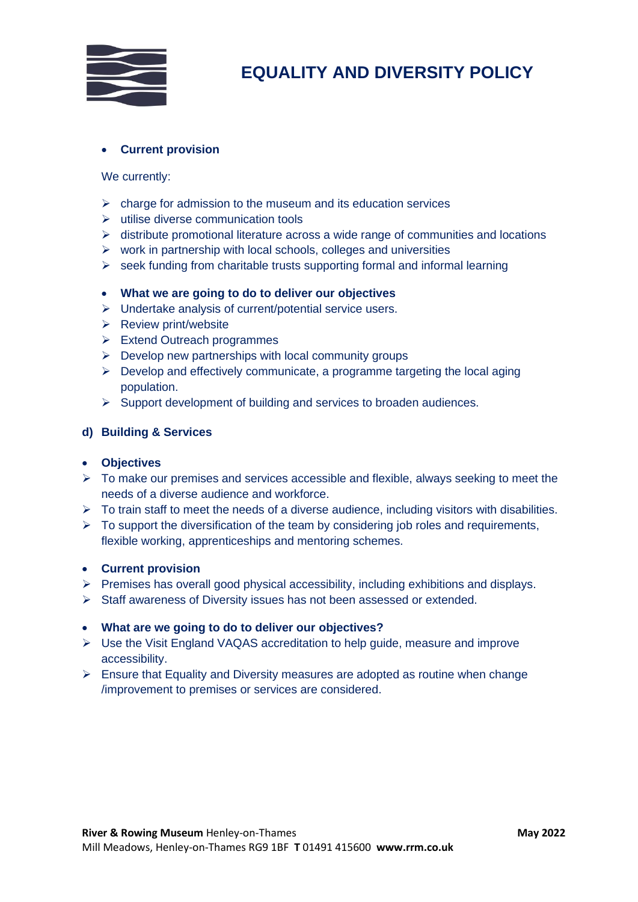

# • **Current provision**

# We currently:

- $\triangleright$  charge for admission to the museum and its education services
- ➢ utilise diverse communication tools
- $\triangleright$  distribute promotional literature across a wide range of communities and locations
- $\triangleright$  work in partnership with local schools, colleges and universities
- $\triangleright$  seek funding from charitable trusts supporting formal and informal learning

# • **What we are going to do to deliver our objectives**

- ➢ Undertake analysis of current/potential service users.
- ➢ Review print/website
- ➢ Extend Outreach programmes
- $\triangleright$  Develop new partnerships with local community groups
- $\triangleright$  Develop and effectively communicate, a programme targeting the local aging population.
- ➢ Support development of building and services to broaden audiences.

# **d) Building & Services**

## • **Objectives**

- $\triangleright$  To make our premises and services accessible and flexible, always seeking to meet the needs of a diverse audience and workforce.
- $\triangleright$  To train staff to meet the needs of a diverse audience, including visitors with disabilities.
- $\triangleright$  To support the diversification of the team by considering job roles and requirements, flexible working, apprenticeships and mentoring schemes.

## • **Current provision**

- ➢ Premises has overall good physical accessibility, including exhibitions and displays.
- ➢ Staff awareness of Diversity issues has not been assessed or extended.

## • **What are we going to do to deliver our objectives?**

- $\triangleright$  Use the Visit England VAQAS accreditation to help guide, measure and improve accessibility.
- ➢ Ensure that Equality and Diversity measures are adopted as routine when change /improvement to premises or services are considered.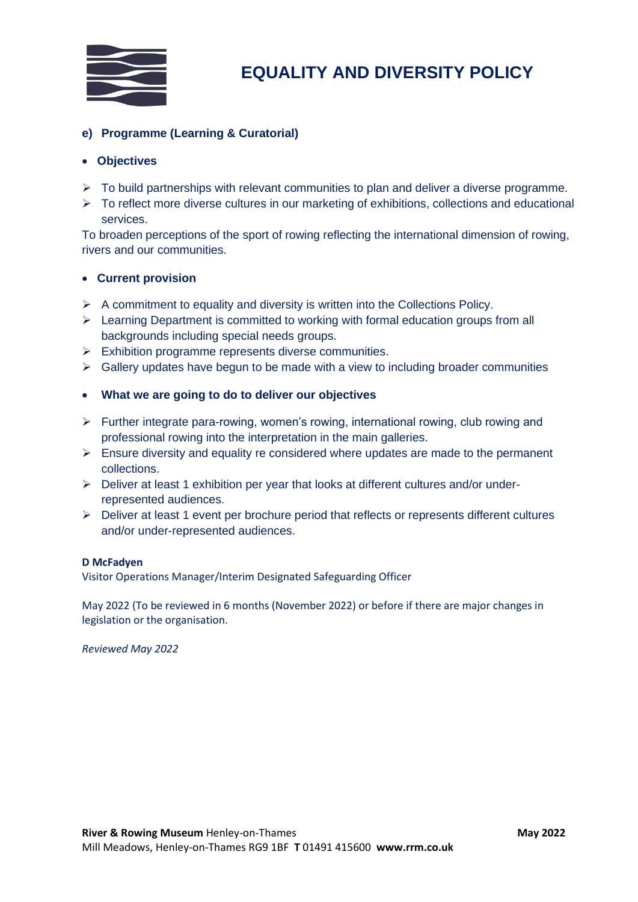

# **e) Programme (Learning & Curatorial)**

# • **Objectives**

- ➢ To build partnerships with relevant communities to plan and deliver a diverse programme.
- ➢ To reflect more diverse cultures in our marketing of exhibitions, collections and educational services.

To broaden perceptions of the sport of rowing reflecting the international dimension of rowing, rivers and our communities.

## • **Current provision**

- $\triangleright$  A commitment to equality and diversity is written into the Collections Policy.
- $\triangleright$  Learning Department is committed to working with formal education groups from all backgrounds including special needs groups.
- ➢ Exhibition programme represents diverse communities.
- $\triangleright$  Gallery updates have begun to be made with a view to including broader communities

# • **What we are going to do to deliver our objectives**

- $\triangleright$  Further integrate para-rowing, women's rowing, international rowing, club rowing and professional rowing into the interpretation in the main galleries.
- $\triangleright$  Ensure diversity and equality re considered where updates are made to the permanent collections.
- $\triangleright$  Deliver at least 1 exhibition per year that looks at different cultures and/or underrepresented audiences.
- ➢ Deliver at least 1 event per brochure period that reflects or represents different cultures and/or under-represented audiences.

## **D McFadyen**

Visitor Operations Manager/Interim Designated Safeguarding Officer

May 2022 (To be reviewed in 6 months (November 2022) or before if there are major changes in legislation or the organisation.

*Reviewed May 2022*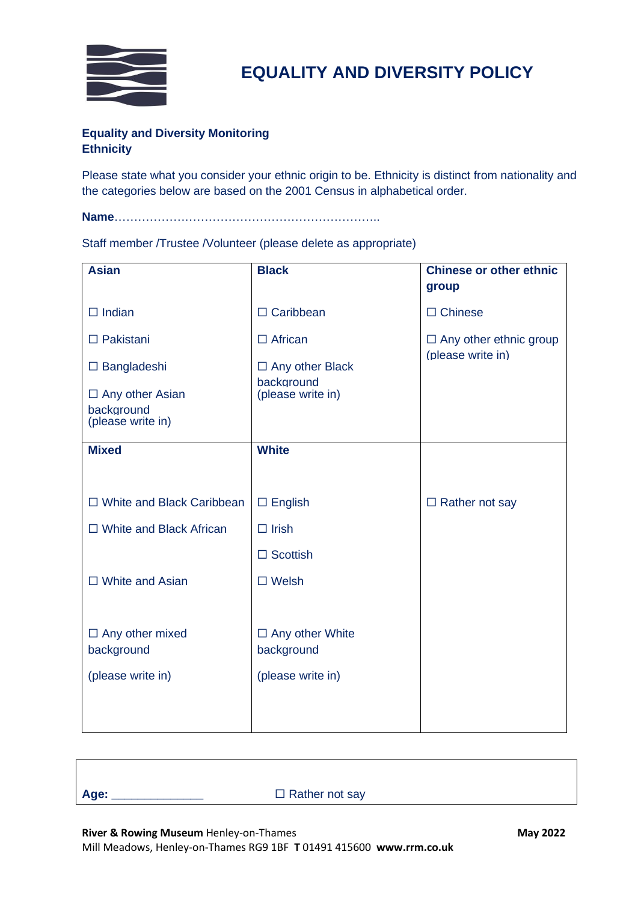

# **Equality and Diversity Monitoring Ethnicity**

Please state what you consider your ethnic origin to be. Ethnicity is distinct from nationality and the categories below are based on the 2001 Census in alphabetical order.

**Name**…………………………………………………………..

Staff member /Trustee /Volunteer (please delete as appropriate)

| <b>Asian</b>                                              | <b>Black</b>                         | <b>Chinese or other ethnic</b><br>group |
|-----------------------------------------------------------|--------------------------------------|-----------------------------------------|
| $\Box$ Indian                                             | $\Box$ Caribbean                     | $\Box$ Chinese                          |
| $\Box$ Pakistani                                          | $\Box$ African                       | $\Box$ Any other ethnic group           |
| $\square$ Bangladeshi                                     | $\Box$ Any other Black               | (please write in)                       |
| $\Box$ Any other Asian<br>background<br>(please write in) | background<br>(please write in)      |                                         |
| <b>Mixed</b>                                              | <b>White</b>                         |                                         |
|                                                           |                                      |                                         |
| $\Box$ White and Black Caribbean                          | $\square$ English                    | $\Box$ Rather not say                   |
| $\Box$ White and Black African                            | $\Box$ Irish                         |                                         |
|                                                           | $\Box$ Scottish                      |                                         |
| $\Box$ White and Asian                                    | $\square$ Welsh                      |                                         |
|                                                           |                                      |                                         |
| $\Box$ Any other mixed<br>background                      | $\Box$ Any other White<br>background |                                         |
| (please write in)                                         | (please write in)                    |                                         |
|                                                           |                                      |                                         |
|                                                           |                                      |                                         |

□ Rather not say

**River & Rowing Museum** Henley-on-Thames **May 2022 May 2022** 

Mill Meadows, Henley-on-Thames RG9 1BF **T** 01491 415600 **www.rrm.co.uk**